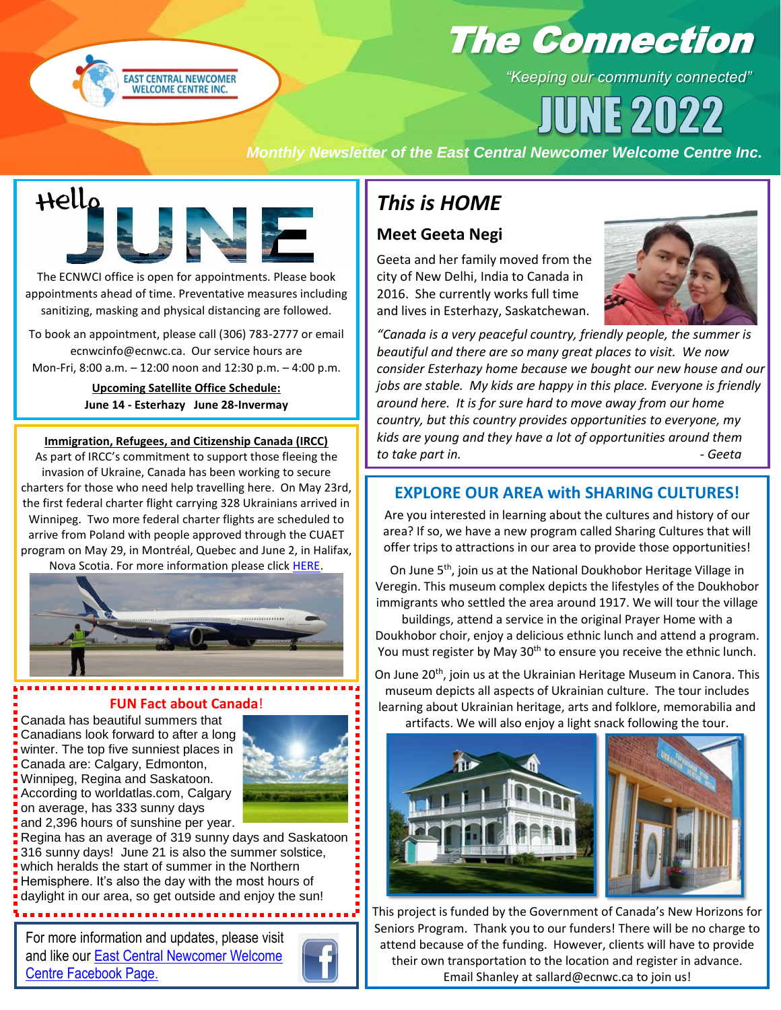

# The Connection

*"Keeping our community connected"*

 $59119$ 

#### *Monthly Newsletter of the East Central Newcomer Welcome Centre Inc.*



The ECNWCI office is open for appointments. Please book appointments ahead of time. Preventative measures including sanitizing, masking and physical distancing are followed.

To book an appointment, please call (306) 783-2777 or email ecnwcinfo@ecnwc.ca. Our service hours are Mon-Fri, 8:00 a.m. – 12:00 noon and 12:30 p.m. – 4:00 p.m.

> **Upcoming Satellite Office Schedule: June 14 - Esterhazy June 28-Invermay**

#### June 14 – Kamsack June 28 - Preeceville **Immigration, Refugees, and Citizenship Canada (IRCC)**

As part of IRCC's commitment to support those fleeing the invasion of Ukraine, Canada has been working to secure charters for those who need help travelling here. On May 23rd, the first federal charter flight carrying 328 Ukrainians arrived in Winnipeg. Two more federal charter flights are scheduled to arrive from Poland with people approved through the CUAET program on May 29, in Montréal, Quebec and June 2, in Halifax, Nova Scotia. For more information please click [HERE.](https://www.canada.ca/en/immigration-refugees-citizenship/news/2022/05/canada-welcomes-first-federal-charter-flight-for-ukrainians-in-winnipeg.html?fbclid=IwAR12UJ3tAtcbwwFncep8RvY16wE8oS5ZllOvqX9_iZtnRA6r6_pgwczBgbE)



#### **FUN Fact about Canada**!

Canada has beautiful summers that Canadians look forward to after a long winter. The top five sunniest places in Canada are: Calgary, Edmonton, Winnipeg, Regina and Saskatoon. According to worldatlas.com, Calgary on average, has 333 sunny days and 2,396 hours of sunshine per year.



Regina has an average of 319 sunny days and Saskatoon 316 sunny days! June 21 is also the summer solstice, which heralds the start of summer in the Northern Hemisphere. It's also the day with the most hours of daylight in our area, so get outside and enjoy the sun!

For more information and updates, please visit and like our [East Central Newcomer Welcome](https://www.facebook.com/EastCentralNewcomerWelcomeCentre)  Centre [Facebook Page](https://www.facebook.com/EastCentralNewcomerWelcomeCentre).



### *This is HOME*

### **Meet Geeta Negi**

Geeta and her family moved from the city of New Delhi, India to Canada in 2016. She currently works full time and lives in Esterhazy, Saskatchewan.



*"Canada is a very peaceful country, friendly people, the summer is beautiful and there are so many great places to visit. We now consider Esterhazy home because we bought our new house and our jobs are stable. My kids are happy in this place. Everyone is friendly around here. It is for sure hard to move away from our home country, but this country provides opportunities to everyone, my kids are young and they have a lot of opportunities around them to take part in. - Geeta*

#### **EXPLORE OUR AREA with SHARING CULTURES!**

Are you interested in learning about the cultures and history of our area? If so, we have a new program called Sharing Cultures that will offer trips to attractions in our area to provide those opportunities!

On June 5<sup>th</sup>, join us at the National Doukhobor Heritage Village in Veregin. This museum complex depicts the lifestyles of the Doukhobor immigrants who settled the area around 1917. We will tour the village

buildings, attend a service in the original Prayer Home with a Doukhobor choir, enjoy a delicious ethnic lunch and attend a program. You must register by May 30<sup>th</sup> to ensure you receive the ethnic lunch.

On June 20<sup>th</sup>, join us at the Ukrainian Heritage Museum in Canora. This museum depicts all aspects of Ukrainian culture. The tour includes learning about Ukrainian heritage, arts and folklore, memorabilia and artifacts. We will also enjoy a light snack following the tour.



This project is funded by the Government of Canada's New Horizons for Seniors Program. Thank you to our funders! There will be no charge to attend because of the funding. However, clients will have to provide their own transportation to the location and register in advance. Email Shanley at sallard@ecnwc.ca to join us!